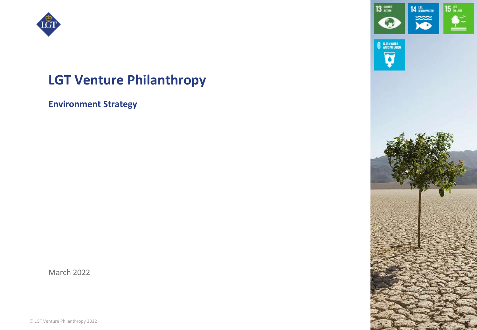

# **LGT Venture Philanthropy**

**Environment Strategy**

March 2022

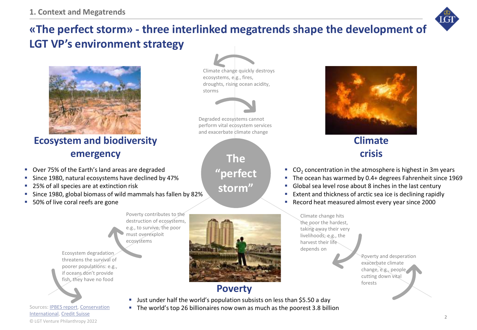

## **«The perfect storm» - three interlinked megatrends shape the development of LGT VP's environment strategy**

ecosystems, e.g., fires, droughts, rising ocean acidity,

Degraded ecosystems cannot perform vital ecosystem services and exacerbate climate change

**The** 

**"perfect** 

**storm"**

storms

Climate change quickly destroys



### **Ecosystem and biodiversity emergency**

- Over 75% of the Earth's land areas are degraded
- Since 1980, natural ecosystems have declined by 47%
- 25% of all species are at extinction risk
- Since 1980, global biomass of wild mammals has fallen by 82%
- 50% of live coral reefs are gone

Poverty contributes to the destruction of ecosystems, e.g., to survive, the poor must overexploit ecosystems

Ecosystem degradation threatens the survival of poorer populations: e.g., if oceans don't provide fish, they have no food



### **Poverty**

■ Just under half the world's population subsists on less than \$5.50 a day

■ The world's top 26 billionaires now own as much as the poorest 3.8 billion



### **Climate crisis**

- $\bullet$  CO<sub>2</sub> concentration in the atmosphere is highest in 3m years
- The ocean has warmed by 0.4+ degrees Fahrenheit since 1969
- Global sea level rose about 8 inches in the last century
- Extent and thickness of arctic sea ice is declining rapidly
- Record heat measured almost every year since 2000

Climate change hits the poor the hardest, taking away their very livelihoods, e.g., the harvest their life depends on

> Poverty and desperation exacerbate climate change, e.g., people cutting down vital forests

© LGT Venture Philanthropy 2022 [Sources: IPBES report, Conservation](https://www.conservation.org/stories/11-climate-change-facts-you-need-to-know) International, [Credit Suisse](https://www.credit-suisse.com/about-us/en/reports-research/global-wealth-report.html)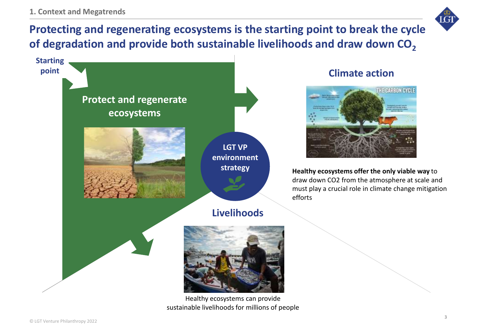

# **Protecting and regenerating ecosystems is the starting point to break the cycle of degradation and provide both sustainable livelihoods and draw down CO<sup>2</sup>**



### **Climate action**



**Healthy ecosystems offer the only viable way** to draw down CO2 from the atmosphere at scale and must play a crucial role in climate change mitigation efforts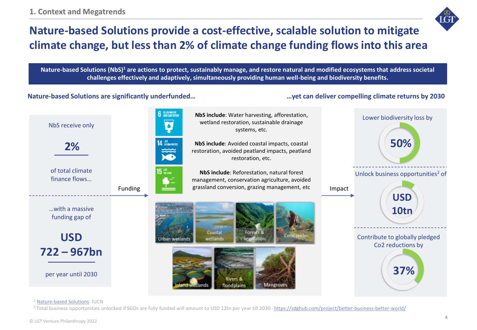

# **Nature-based Solutions provide a cost-effective, scalable solution to mitigate climate change, but less than 2% of climate change funding flows into this area**

Nature-based Solutions (NbS)<sup>1</sup> are actions to protect, sustainably manage, and restore natural and modified ecosystems that address societal **challenges effectively and adaptively, simultaneously providing human well-being and biodiversity benefits.**

**Nature-based Solutions are significantly underfunded… …yet can deliver compelling climate returns by 2030**



<sup>1</sup> [Nature-based Solutions:](https://www.iucn.org/theme/nature-based-solutions) IUCN

<sup>2</sup>Total business opportunities unlocked if SGDs are fully funded will amount to USD 12tn per year till 2030-<https://sdghub.com/project/better-business-better-world/>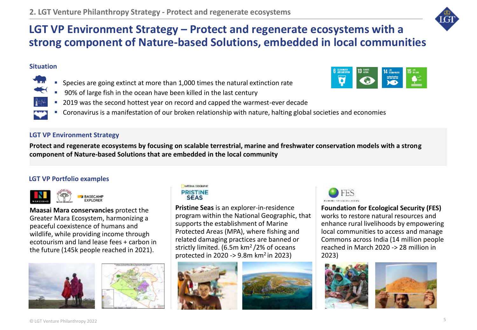

### **LGT VP Environment Strategy – Protect and regenerate ecosystems with a strong component of Nature-based Solutions, embedded in local communities**

#### **Situation**

- Species are going extinct at more than 1,000 times the natural extinction rate
- 90% of large fish in the ocean have been killed in the last century
- 2019 was the second hottest year on record and capped the warmest-ever decade
- Coronavirus is a manifestation of our broken relationship with nature, halting global societies and economies

#### **LGT VP Environment Strategy**

**Protect and regenerate ecosystems by focusing on scalable terrestrial, marine and freshwater conservation models with a strong component of Nature-based Solutions that are embedded in the local community**

#### **LGT VP Portfolio examples**



**Maasai Mara conservancies** protect the Greater Mara Ecosystem, harmonizing a peaceful coexistence of humans and wildlife, while providing income through ecotourism and land lease fees + carbon in the future (145k people reached in 2021).







**Pristine Seas** is an explorer-in-residence program within the National Geographic, that supports the establishment of Marine Protected Areas (MPA), where fishing and related damaging practices are banned or strictly limited. (6.5m km<sup>2</sup>/2% of oceans protected in 2020 -> 9.8m  $km^2$  in 2023)







**Foundation for Ecological Security (FES)**  works to restore natural resources and enhance rural livelihoods by empowering local communities to access and manage Commons across India (14 million people reached in March 2020 -> 28 million in 2023)





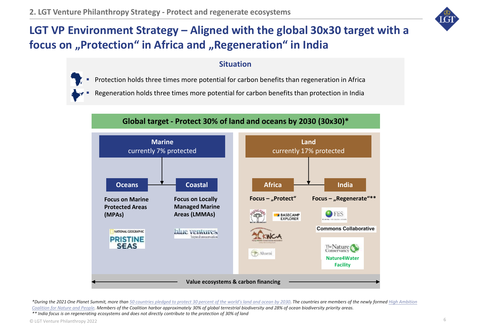

# **LGT VP Environment Strategy – Aligned with the global 30x30 target with a**  focus on "Protection" in Africa and "Regeneration" in India

#### **Situation**

- Protection holds three times more potential for carbon benefits than regeneration in Africa
- Regeneration holds three times more potential for carbon benefits than protection in India

#### **Global target - Protect 30% of land and oceans by 2030 (30x30)\***



*\*During the 2021 One Planet Summit, more than [50 countries pledged to protect 30 percent of the world's land and ocean by 2030](https://www.theplanetarypress.com/2021/01/more-than-50-countries-pledge-to-protect-30-of-the-worlds-land-and-ocean-by-2030/). The countries are members of the newly formed High Ambition Coalition for Nature and People. Members of the Coalition harbor [approximately 30% of global terrestrial biodiversity and 28% of ocean biodiversity priority areas.](https://www.theplanetarypress.com/2019/09/costa-rica-named-un-champion-of-the-earth-launches-global-coalition-to-protect-nature/) \*\* India focus is on regenerating ecosystems and does not directly contribute to the protection of 30% of land*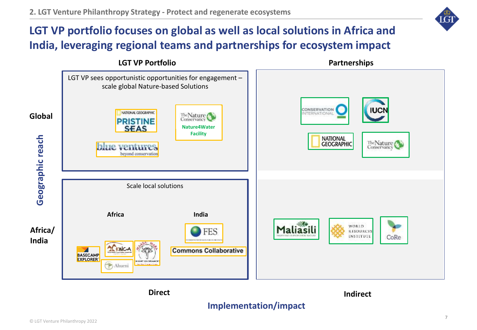## **LGT VP portfolio focuses on global as well as local solutions in Africa and India, leveraging regional teams and partnerships for ecosystem impact**



### **Implementation/impact**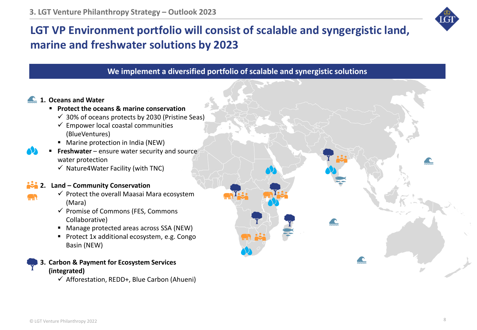

# **LGT VP Environment portfolio will consist of scalable and syngergistic land, marine and freshwater solutions by 2023**

**We implement a diversified portfolio of scalable and synergistic solutions**

 $\blacktriangle$ 

#### **1. Oceans and Water**

- **Protect the oceans & marine conservation**
	- $\checkmark$  30% of oceans protects by 2030 (Pristine Seas)
	- $\checkmark$  Empower local coastal communities (BlueVentures)
	- Marine protection in India (NEW)
- **Freshwater** ensure water security and source water protection
	- $\checkmark$  Nature4Water Facility (with TNC)

#### **2. Land – Community Conservation**

- $\checkmark$  Protect the overall Maasai Mara ecosystem (Mara)
- ✓ Promise of Commons (FES, Commons Collaborative)
- Manage protected areas across SSA (NEW)
- Protect 1x additional ecosystem, e.g. Congo Basin (NEW)

**3. Carbon & Payment for Ecosystem Services (integrated)** 

 $\checkmark$  Afforestation, REDD+, Blue Carbon (Ahueni)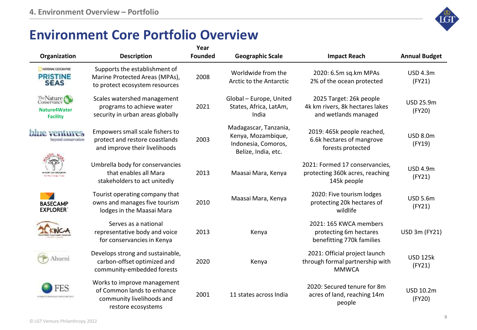# **Environment Core Portfolio Overview**

| Organization                                          | <b>Description</b>                                                                                           | Year<br><b>Founded</b> | <b>Geographic Scale</b>                                                                   | <b>Impact Reach</b>                                                                | <b>Annual Budget</b>       |
|-------------------------------------------------------|--------------------------------------------------------------------------------------------------------------|------------------------|-------------------------------------------------------------------------------------------|------------------------------------------------------------------------------------|----------------------------|
| NATIONAL CEOCRAPHIC<br><b>PRISTINE</b><br><b>SEAS</b> | Supports the establishment of<br>Marine Protected Areas (MPAs),<br>to protect ecosystem resources            | 2008                   | Worldwide from the<br>Arctic to the Antarctic                                             | 2020: 6.5m sq.km MPAs<br>2% of the ocean protected                                 | <b>USD 4.3m</b><br>(FY21)  |
| The Nature<br>Nature4Water<br><b>Facility</b>         | Scales watershed management<br>programs to achieve water<br>security in urban areas globally                 | 2021                   | Global - Europe, United<br>States, Africa, LatAm,<br>India                                | 2025 Target: 26k people<br>4k km rivers, 8k hectares lakes<br>and wetlands managed | <b>USD 25.9m</b><br>(FY20) |
| <b>blue</b> ventures<br>beyond conservation           | Empowers small scale fishers to<br>protect and restore coastlands<br>and improve their livelihoods           | 2003                   | Madagascar, Tanzania,<br>Kenya, Mozambique,<br>Indonesia, Comoros,<br>Belize, India, etc. | 2019: 465k people reached,<br>6.6k hectares of mangrove<br>forests protected       | <b>USD 8.0m</b><br>(FY19)  |
|                                                       | Umbrella body for conservancies<br>that enables all Mara<br>stakeholders to act unitedly                     | 2013                   | Maasai Mara, Kenya                                                                        | 2021: Formed 17 conservancies,<br>protecting 360k acres, reaching<br>145k people   | <b>USD 4.9m</b><br>(FY21)  |
| <b>BASECAMP</b><br><b>EXPLORER</b>                    | Tourist operating company that<br>owns and manages five tourism<br>lodges in the Maasai Mara                 | 2010                   | Maasai Mara, Kenya                                                                        | 2020: Five tourism lodges<br>protecting 20k hectares of<br>wildlife                | <b>USD 5.6m</b><br>(FY21)  |
|                                                       | Serves as a national<br>representative body and voice<br>for conservancies in Kenya                          | 2013                   | Kenya                                                                                     | 2021: 165 KWCA members<br>protecting 6m hectares<br>benefitting 770k families      | USD 3m (FY21)              |
| hueni                                                 | Develops strong and sustainable,<br>carbon-offset optimized and<br>community-embedded forests                | 2020                   | Kenya                                                                                     | 2021: Official project launch<br>through formal partnership with<br><b>MMWCA</b>   | <b>USD 125k</b><br>(FY21)  |
| ΤS                                                    | Works to improve management<br>of Common lands to enhance<br>community livelihoods and<br>restore ecosystems | 2001                   | 11 states across India                                                                    | 2020: Secured tenure for 8m<br>acres of land, reaching 14m<br>people               | <b>USD 10.2m</b><br>(FY20) |